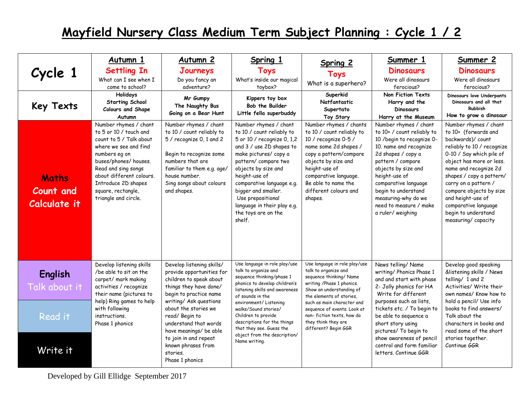|                                           | Autumn 1                                                                                                                                                                                                                                                              | Autumn <sub>2</sub>                                                                                                                                                                                                     | Spring 1                                                                                                                                                                                                                                                                                                                                      | Spring 2                                                                                                                                                                                                                                                   | Summer 1                                                                                                                                                                                                                                                                                                           | Summer 2                                                                                                                                                                                                                                                                                                                                                  |
|-------------------------------------------|-----------------------------------------------------------------------------------------------------------------------------------------------------------------------------------------------------------------------------------------------------------------------|-------------------------------------------------------------------------------------------------------------------------------------------------------------------------------------------------------------------------|-----------------------------------------------------------------------------------------------------------------------------------------------------------------------------------------------------------------------------------------------------------------------------------------------------------------------------------------------|------------------------------------------------------------------------------------------------------------------------------------------------------------------------------------------------------------------------------------------------------------|--------------------------------------------------------------------------------------------------------------------------------------------------------------------------------------------------------------------------------------------------------------------------------------------------------------------|-----------------------------------------------------------------------------------------------------------------------------------------------------------------------------------------------------------------------------------------------------------------------------------------------------------------------------------------------------------|
| Cycle 1                                   | <b>Settling In</b><br>What can I see when I<br>come to school?                                                                                                                                                                                                        | Journeys<br>Do you fancy an<br>adventure?                                                                                                                                                                               | <b>Toys</b><br>What's inside our magical<br>toybox?                                                                                                                                                                                                                                                                                           | <b>Toys</b><br>What is a superhero?                                                                                                                                                                                                                        | <b>Dinosaurs</b><br>Were all dinosaurs<br>ferocious?                                                                                                                                                                                                                                                               | <b>Dinosaurs</b><br>Were all dinosaurs<br>ferocious?                                                                                                                                                                                                                                                                                                      |
| <b>Key Texts</b>                          | Holidays<br><b>Starting School</b><br>Colours and Shape<br>Autumn                                                                                                                                                                                                     | Mr Gumpy<br>The Naughty Bus<br>Going on a Bear Hunt                                                                                                                                                                     | Kippers toy box<br>Bob the Builder<br>Little fella superbuddy                                                                                                                                                                                                                                                                                 | Superkid<br>Natfantastic<br>Supertato<br>Toy Story                                                                                                                                                                                                         | <b>Non Fiction Texts</b><br>Harry and the<br><b>Dinosaurs</b><br>Harry at the Museum                                                                                                                                                                                                                               | Dinosaurs love Underpants<br>Dinosaurs and all that<br>Rubbish<br>How to grow a dinosaur                                                                                                                                                                                                                                                                  |
| <b>Maths</b><br>Count and<br>Calculate it | Number rhymes / chant<br>to 5 or 10 / touch and<br>count to 5 / Talk about<br>where we see and find<br>numbers eg on<br>buses/phones/ houses.<br>Read and sing songs<br>about different colours.<br>Introduce 2D shapes<br>square, rectangle,<br>triangle and circle. | Number rhymes / chant<br>to 10 / count reliably to<br>5 / recognize 0, 1 and 2<br>Begin to recognize some<br>numbers that are<br>familiar to them e.g. age/<br>house number.<br>Sing songs about colours<br>and shapes. | Number rhymes / chant<br>to 10 / count reliably to<br>5 or 10 / recognize 0, 1,2<br>and 3 / use 2D shapes to<br>make pictures/ copy a<br>pattern/compare two<br>objects by size and<br>height-use of<br>comparative language e.g.<br>bigger and smaller.<br>Use prepositional<br>language in their play e.g.<br>the toys are on the<br>shelf. | Number rhymes / chants<br>to 10 / count reliably to<br>10 / recognize 0-5 /<br>name some 2d shapes /<br>copy a pattern/compare<br>objects by size and<br>height-use of<br>comparative language.<br>Be able to name the<br>different colours and<br>shapes. | Number rhymes / chant<br>to 10+ / count reliably to<br>10 / begin to recognize 0-<br>10. name and recognize<br>2d shapes / copy a<br>pattern / compare<br>objects by size and<br>height-use of<br>comparative language<br>begin to understand<br>measuring-why do we<br>need to measure / make<br>a ruler/weighing | Number rhymes / chant<br>to 10+ (forwards and<br>backwards)/count<br>reliably to 10 / recognize<br>0-10 / Say which pile of<br>object has more or less.<br>name and recognize 2d<br>shapes / copy a pattern/<br>carry on a pattern /<br>compare objects by size<br>and height-use of<br>comparative language<br>begin to understand<br>measuring/capacity |
| <b>English</b><br>Talk about it           | Develop listening skills<br>/be able to sit on the<br>carpet/ mark making<br>activities / recognize<br>their name (pictures to                                                                                                                                        | Develop listening skills/<br>provide opportunities for<br>children to speak about<br>things they have done/<br>begin to practice name                                                                                   | Use language in role play/use<br>talk to organize and<br>sequence thinking/phase 1<br>phonics to develop children's<br>listening skills and awareness<br>of sounds in the                                                                                                                                                                     | Use language in role play/use<br>talk to organize and<br>sequence thinking/ Name<br>writing /Phase 1 phonics.<br>Show an understanding of<br>the elements of stories,                                                                                      | News telling/ Name<br>writing/ Phonics Phase 1<br>and and start with phase<br>2- Jolly phonics for HA<br>Write for different                                                                                                                                                                                       | Develop good speaking<br>&listening skills / News<br>telling/ 1 and 2<br>Activities/ Write their<br>own names/Know how to                                                                                                                                                                                                                                 |
| Read it                                   | help) Ring games to help<br>with following<br>instructions.<br>Phase 1 phonics                                                                                                                                                                                        | writing/ Ask questions<br>about the stories we<br>read/Begin to<br>understand that words<br>have meanings/ be able                                                                                                      | environment/Listening<br>walks/Sound stories/<br>Children to provide<br>descriptions for the things<br>that they see. Guess the                                                                                                                                                                                                               | such as main character and<br>sequence of events. Look at<br>non-fiction texts, how do<br>they think they are<br>different? Begin GGR                                                                                                                      | purposes such as lists,<br>tickets etc. / To begin to<br>be able to sequence a<br>short story using<br>pictures/ To begin to                                                                                                                                                                                       | hold a pencil/ Use info<br>books to find answers/<br>Talk about the<br>characters in books and<br>read some of the short                                                                                                                                                                                                                                  |
| Write it                                  |                                                                                                                                                                                                                                                                       | to join in and repeat<br>known phrases from<br>stories.<br>Phase 1 phonics                                                                                                                                              | object from the description/<br>Name writing.                                                                                                                                                                                                                                                                                                 |                                                                                                                                                                                                                                                            | show awareness of pencil<br>control and form familiar<br>letters. Continue GGR                                                                                                                                                                                                                                     | stories together.<br>Continue GGR                                                                                                                                                                                                                                                                                                                         |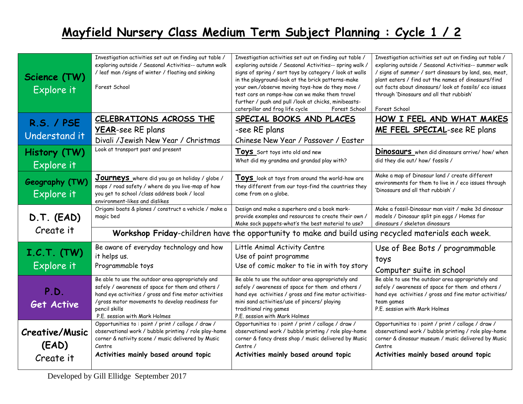| Science (TW)<br>Explore it                  | Investigation activities set out on finding out table /<br>exploring outside / Seasonal Activities-- autumn walk<br>/ leaf man / signs of winter / floating and sinking<br>Forest School                                                                             | Investigation activities set out on finding out table /<br>exploring outside / Seasonal Activities-- spring walk /<br>signs of spring / sort toys by category / look at walls<br>in the playground-look at the brick patterns-make<br>your own./observe moving toys-how do they move /<br>test cars on ramps-how can we make them travel<br>further / push and pull /look at chicks, minibeasts-<br>caterpillar and frog life cycle<br>Forest School | Investigation activities set out on finding out table /<br>exploring outside / Seasonal Activities-- summer walk<br>/ signs of summer / sort dinosaurs by land, sea, meat,<br>plant eaters / find out the names of dinosaurs/find<br>out facts about dinosaurs/look at fossils/eco issues<br>through 'Dinosaurs and all that rubbish'<br>Forest School |  |  |
|---------------------------------------------|----------------------------------------------------------------------------------------------------------------------------------------------------------------------------------------------------------------------------------------------------------------------|------------------------------------------------------------------------------------------------------------------------------------------------------------------------------------------------------------------------------------------------------------------------------------------------------------------------------------------------------------------------------------------------------------------------------------------------------|--------------------------------------------------------------------------------------------------------------------------------------------------------------------------------------------------------------------------------------------------------------------------------------------------------------------------------------------------------|--|--|
| <b>R.S. / PSE</b><br>Understand it          | CELEBRATIONS ACROSS THE<br><b>YEAR-see RE plans</b><br>Divali /Jewish New Year / Christmas                                                                                                                                                                           | SPECIAL BOOKS AND PLACES<br>-see RE plans<br>Chinese New Year / Passover / Easter                                                                                                                                                                                                                                                                                                                                                                    | HOW I FEEL AND WHAT MAKES<br>ME FEEL SPECIAL-see RE plans                                                                                                                                                                                                                                                                                              |  |  |
| History (TW)<br>Explore it                  | Look at transport past and present                                                                                                                                                                                                                                   | Toys Sort toys into old and new<br>What did my grandma and grandad play with?                                                                                                                                                                                                                                                                                                                                                                        | <b>Dinosaurs</b> when did dinosaurs arrive/ how/ when<br>did they die out/how/fossils /                                                                                                                                                                                                                                                                |  |  |
| Geography (TW)<br>Explore it                | Journeys where did you go on holiday / globe /<br>maps / road safety / where do you live-map of how<br>you get to school / class address book / local<br>environment-likes and dislikes                                                                              | Toys look at toys from around the world-how are<br>they different from our toys-find the countries they<br>come from on a globe.                                                                                                                                                                                                                                                                                                                     | Make a map of Dinosaur land / create different<br>environments for them to live in / eco issues through<br>'Dinosaurs and all that rubbish' /                                                                                                                                                                                                          |  |  |
| D.T. (EAD)                                  | Origami boats & planes / construct a vehicle / make a<br>magic bed                                                                                                                                                                                                   | Design and make a superhero and a book mark-<br>provide examples and resources to create their own /<br>Make sock puppets-what's the best material to use?                                                                                                                                                                                                                                                                                           | Make a fossil-Dinosaur man visit / make 3d dinosaur<br>models / Dinosaur split pin eggs / Homes for<br>dinosaurs / skeleton dinosaurs                                                                                                                                                                                                                  |  |  |
| Create it                                   | Workshop Friday-children have the opportunity to make and build using recycled materials each week.                                                                                                                                                                  |                                                                                                                                                                                                                                                                                                                                                                                                                                                      |                                                                                                                                                                                                                                                                                                                                                        |  |  |
| I.C.T. (TW)<br>Explore it                   | Be aware of everyday technology and how<br>it helps us.<br>Programmable toys                                                                                                                                                                                         | Little Animal Activity Centre<br>Use of paint programme<br>Use of comic maker to tie in with toy story                                                                                                                                                                                                                                                                                                                                               | Use of Bee Bots / programmable<br>toys<br>Computer suite in school                                                                                                                                                                                                                                                                                     |  |  |
| P.D.<br><b>Get Active</b>                   | Be able to use the outdoor area appropriately and<br>safely / awareness of space for them and others /<br>hand eye activities / gross and fine motor activities<br>/gross motor movements to develop readiness for<br>pencil skills<br>P.E. session with Mark Holmes | Be able to use the outdoor area appropriately and<br>safely / awareness of space for them and others /<br>hand eye activities / gross and fine motor activities-<br>mini sand activities/use of pincers/ playing<br>traditional ring games<br>P.E. session with Mark Holmes                                                                                                                                                                          | Be able to use the outdoor area appropriately and<br>safely / awareness of space for them and others /<br>hand eye activities / gross and fine motor activities/<br>team games<br>P.E. session with Mark Holmes                                                                                                                                        |  |  |
| <b>Creative/Music</b><br>(EAD)<br>Create it | Opportunities to : paint / print / collage / draw /<br>observational work / bubble printing / role play-home<br>corner & nativity scene / music delivered by Music<br>Centre<br>Activities mainly based around topic                                                 | Opportunities to : paint / print / collage / draw /<br>observational work / bubble printing / role play-home<br>corner & fancy dress shop / music delivered by Music<br>Centre /<br>Activities mainly based around topic                                                                                                                                                                                                                             | Opportunities to : paint / print / collage / draw /<br>observational work / bubble printing / role play-home<br>corner & dinosaur museum / music delivered by Music<br>Centre<br>Activities mainly based around topic                                                                                                                                  |  |  |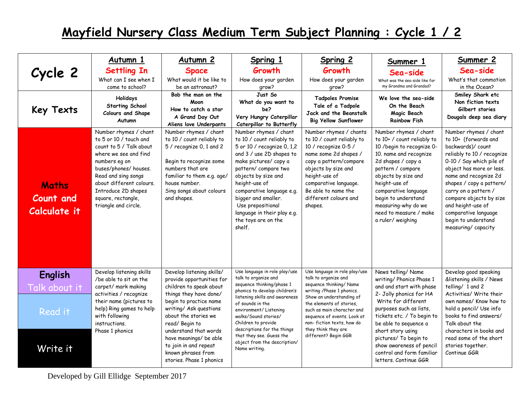|                                            | Autumn 1                                                                                                                                                                                                                                                              | Autumn 2                                                                                                                                                                                                                | Spring 1                                                                                                                                                                                                                                                                                                                                      | Spring 2                                                                                                                                                                                                                                                        | Summer 1                                                                                                                                                                                                                                                                                                           | Summer 2                                                                                                                                                                                                                                                                                                                                                   |
|--------------------------------------------|-----------------------------------------------------------------------------------------------------------------------------------------------------------------------------------------------------------------------------------------------------------------------|-------------------------------------------------------------------------------------------------------------------------------------------------------------------------------------------------------------------------|-----------------------------------------------------------------------------------------------------------------------------------------------------------------------------------------------------------------------------------------------------------------------------------------------------------------------------------------------|-----------------------------------------------------------------------------------------------------------------------------------------------------------------------------------------------------------------------------------------------------------------|--------------------------------------------------------------------------------------------------------------------------------------------------------------------------------------------------------------------------------------------------------------------------------------------------------------------|------------------------------------------------------------------------------------------------------------------------------------------------------------------------------------------------------------------------------------------------------------------------------------------------------------------------------------------------------------|
| Cycle 2                                    | <b>Settling In</b>                                                                                                                                                                                                                                                    | <b>Space</b>                                                                                                                                                                                                            | Growth                                                                                                                                                                                                                                                                                                                                        | Growth                                                                                                                                                                                                                                                          | Sea-side                                                                                                                                                                                                                                                                                                           | Sea-side                                                                                                                                                                                                                                                                                                                                                   |
|                                            | What can I see when I<br>come to school?                                                                                                                                                                                                                              | What would it be like to<br>be an astronaut?                                                                                                                                                                            | How does your garden<br>grow?                                                                                                                                                                                                                                                                                                                 | How does your garden<br>grow?                                                                                                                                                                                                                                   | What was the sea-side like for<br>my Grandma and Grandad?                                                                                                                                                                                                                                                          | What's that commotion<br>in the Ocean?                                                                                                                                                                                                                                                                                                                     |
| <b>Key Texts</b>                           | <b>Holidays</b><br><b>Starting School</b><br>Colours and Shape<br>Autumn                                                                                                                                                                                              | Bob the man on the<br>Moon<br>How to catch a star<br>A Grand Day Out<br>Aliens love Underpants                                                                                                                          | Just So<br>What do you want to<br>be?<br>Very Hungry Caterpillar<br>Caterpillar to Butterfly                                                                                                                                                                                                                                                  | <b>Tadpoles Promise</b><br>Tale of a Tadpole<br>Jack and the Beanstalk<br><b>Big Yellow Sunflower</b>                                                                                                                                                           | We love the sea-side<br>On the Beach<br>Magic Beach<br><b>Rainbow Fish</b>                                                                                                                                                                                                                                         | Smiley Shark etc<br>Non fiction texts<br>Gilbert stories<br>Dougals deep sea diary                                                                                                                                                                                                                                                                         |
| <b>Maths</b><br>Count and<br>Calculate it  | Number rhymes / chant<br>to 5 or 10 / touch and<br>count to 5 / Talk about<br>where we see and find<br>numbers eq on<br>buses/phones/ houses.<br>Read and sing songs<br>about different colours.<br>Introduce 2D shapes<br>square, rectangle,<br>triangle and circle. | Number rhymes / chant<br>to 10 / count reliably to<br>5 / recognize 0, 1 and 2<br>Begin to recognize some<br>numbers that are<br>familiar to them e.g. age/<br>house number.<br>Sing songs about colours<br>and shapes. | Number rhymes / chant<br>to 10 / count reliably to<br>5 or 10 / recognize 0, 1,2<br>and 3 / use 2D shapes to<br>make pictures/ copy a<br>pattern/compare two<br>objects by size and<br>height-use of<br>comparative language e.g.<br>bigger and smaller.<br>Use prepositional<br>language in their play e.g.<br>the toys are on the<br>shelf. | Number rhymes / chants<br>to 10 / count reliably to<br>10 / recognize 0-5 /<br>name some 2d shapes /<br>copy a pattern/compare<br>objects by size and<br>height-use of<br>comparative language.<br>Be able to name the<br>different colours and<br>shapes.      | Number rhymes / chant<br>to 10+ / count reliably to<br>10 / begin to recognize 0-<br>10. name and recognize<br>2d shapes / copy a<br>pattern / compare<br>objects by size and<br>height-use of<br>comparative language<br>begin to understand<br>measuring-why do we<br>need to measure / make<br>a ruler/weighing | Number rhymes / chant<br>to 10+ (forwards and<br>backwards)/ count<br>reliably to 10 / recognize<br>0-10 / Say which pile of<br>object has more or less.<br>name and recognize 2d<br>shapes / copy a pattern/<br>carry on a pattern /<br>compare objects by size<br>and height-use of<br>comparative language<br>begin to understand<br>measuring/capacity |
| <b>English</b><br>Talk about it<br>Read it | Develop listening skills<br>/be able to sit on the<br>carpet/ mark making<br>activities / recognize<br>their name (pictures to<br>help) Ring games to help<br>with following<br>instructions.                                                                         | Develop listening skills/<br>provide opportunities for<br>children to speak about<br>things they have done/<br>begin to practice name<br>writing/ Ask questions<br>about the stories we<br>read/Begin to                | Use language in role play/use<br>talk to organize and<br>sequence thinking/phase 1<br>phonics to develop children's<br>listening skills and awareness<br>of sounds in the<br>environment/Listening<br>walks/Sound stories/<br>Children to provide                                                                                             | Use language in role play/use<br>talk to organize and<br>sequence thinking/ Name<br>writing /Phase 1 phonics.<br>Show an understanding of<br>the elements of stories.<br>such as main character and<br>sequence of events. Look at<br>non-fiction texts, how do | News telling/ Name<br>writing/ Phonics Phase 1<br>and and start with phase<br>2- Jolly phonics for HA<br>Write for different<br>purposes such as lists,<br>tickets etc. / To begin to<br>be able to sequence a                                                                                                     | Develop good speaking<br>&listening skills / News<br>telling/ 1 and 2<br>Activities/ Write their<br>own names/ Know how to<br>hold a pencil/ Use info<br>books to find answers/<br>Talk about the                                                                                                                                                          |
| Write it                                   | Phase 1 phonics                                                                                                                                                                                                                                                       | understand that words<br>have meanings/ be able<br>to join in and repeat<br>known phrases from<br>stories. Phase 1 phonics                                                                                              | descriptions for the things<br>that they see. Guess the<br>object from the description/<br>Name writing.                                                                                                                                                                                                                                      | they think they are<br>different? Begin GGR                                                                                                                                                                                                                     | short story using<br>pictures/ To begin to<br>show awareness of pencil<br>control and form familiar<br>letters. Continue GGR                                                                                                                                                                                       | characters in books and<br>read some of the short<br>stories together.<br>Continue GGR                                                                                                                                                                                                                                                                     |